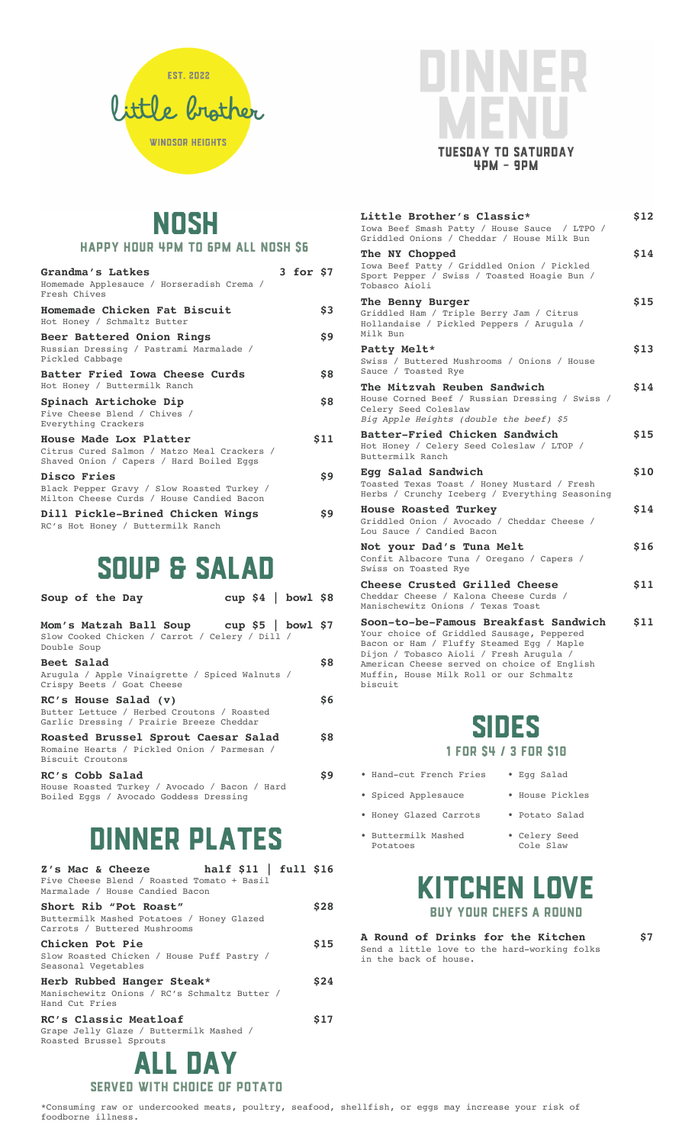

## **TUESDAY TO SATURDAY**  $4PM - 9PM$

## NOSH HAPPY HOUR 4PM TO 6PM ALL NOSH S6

| Grandma's Latkes<br>Homemade Applesauce / Horseradish Crema /<br>Fresh Chives                                     | 3 for \$7 |      |
|-------------------------------------------------------------------------------------------------------------------|-----------|------|
| Homemade Chicken Fat Biscuit<br>Hot Honey / Schmaltz Butter                                                       |           | \$3  |
| Beer Battered Onion Rings<br>Russian Dressing / Pastrami Marmalade /<br>Pickled Cabbage                           |           | \$9  |
| Batter Fried Iowa Cheese Curds<br>Hot Honey / Buttermilk Ranch                                                    |           | \$8  |
| Spinach Artichoke Dip<br>Five Cheese Blend / Chives /<br>Everything Crackers                                      |           | \$8  |
| House Made Lox Platter<br>Citrus Cured Salmon / Matzo Meal Crackers /<br>Shaved Onion / Capers / Hard Boiled Eggs |           | \$11 |
| <b>Disco Fries</b><br>Black Pepper Gravy / Slow Roasted Turkey /<br>Milton Cheese Curds / House Candied Bacon     |           | \$9  |
| Dill Pickle-Brined Chicken Wings                                                                                  |           | \$9  |

RC's Hot Honey / Buttermilk Ranch

#### Soup & SALAD

| Soup of the Day                                                                                                    | cup $$4$   bowl $$8$ |     |
|--------------------------------------------------------------------------------------------------------------------|----------------------|-----|
| Mom's Matzah Ball Soup cup \$5   bowl \$7<br>Slow Cooked Chicken / Carrot / Celery / Dill /<br>Double Soup         |                      |     |
| Beet Salad<br>Arugula / Apple Vinaigrette / Spiced Walnuts /<br>Crispy Beets / Goat Cheese                         |                      | \$8 |
| $RC's$ House Salad $(v)$<br>Butter Lettuce / Herbed Croutons / Roasted<br>Garlic Dressing / Prairie Breeze Cheddar |                      | \$6 |
| Roasted Brussel Sprout Caesar Salad<br>Romaine Hearts / Pickled Onion / Parmesan /<br>Biscuit Croutons             |                      | \$8 |
| RC's Cobb Salad<br>House Roasted Turkey / Avocado / Bacon / Hard<br>Boiled Eggs / Avocado Goddess Dressing         |                      | \$9 |

#### DINNER PLATES

| half $$11$   full $$16$<br>Z's Mac & Cheeze<br>Five Cheese Blend / Roasted Tomato + Basil<br>Marmalade / House Candied Bacon |      |
|------------------------------------------------------------------------------------------------------------------------------|------|
| Short Rib "Pot Roast"<br>Buttermilk Mashed Potatoes / Honey Glazed<br>Carrots / Buttered Mushrooms                           | \$28 |
| Chicken Pot Pie<br>Slow Roasted Chicken / House Puff Pastry /<br>Seasonal Vegetables                                         | \$15 |
| Herb Rubbed Hanger Steak*<br>Manischewitz Onions / RC's Schmaltz Butter /<br>Hand Cut Fries                                  | \$24 |
| RC's Classic Meatloaf<br>Grape Jelly Glaze / Buttermilk Mashed /<br>Roasted Brussel Sprouts                                  | S17  |
| <b>ALL DAY</b>                                                                                                               |      |

#### SERVED WITH CHOICE OF POTATO

| Little Brother's Classic*<br>Iowa Beef Smash Patty / House Sauce / LTPO /<br>Griddled Onions / Cheddar / House Milk Bun                          | \$12 |
|--------------------------------------------------------------------------------------------------------------------------------------------------|------|
| The NY Chopped<br>Iowa Beef Patty / Griddled Onion / Pickled<br>Sport Pepper / Swiss / Toasted Hoagie Bun /<br>Tobasco Aioli                     | \$14 |
| The Benny Burger<br>Griddled Ham / Triple Berry Jam / Citrus<br>Hollandaise / Pickled Peppers / Arugula /<br>Milk Bun                            | \$15 |
| Patty Melt*<br>Swiss / Buttered Mushrooms / Onions / House<br>Sauce / Toasted Rye                                                                | \$13 |
| The Mitzvah Reuben Sandwich<br>House Corned Beef / Russian Dressing / Swiss /<br>Celery Seed Coleslaw<br>Big Apple Heights (double the beef) \$5 | \$14 |
| Batter-Fried Chicken Sandwich<br>Hot Honey / Celery Seed Coleslaw / LTOP /<br>Buttermilk Ranch                                                   | \$15 |
| Egg Salad Sandwich<br>Toasted Texas Toast / Honey Mustard / Fresh<br>Herbs / Crunchy Iceberg / Everything Seasoning                              | \$10 |
| House Roasted Turkey<br>Griddled Onion / Avocado / Cheddar Cheese /<br>Lou Sauce / Candied Bacon                                                 | \$14 |
| Not your Dad's Tuna Melt<br>Confit Albacore Tuna / Oregano / Capers /<br>Swiss on Toasted Rye                                                    | \$16 |
| Cheese Crusted Grilled Cheese<br>Cheddar Cheese / Kalona Cheese Curds /<br>Manischewitz Onions / Texas Toast                                     | \$11 |
| Soon-to-be-Famous Breakfast Sandwich<br>Your choice of Griddled Sausage, Pennered                                                                | \$11 |

Your choice of Griddled Sausage, Peppered Bacon or Ham / Fluffy Steamed Egg / Maple Dijon / Tobasco Aioli / Fresh Arugula / American Cheese served on choice of English Muffin, House Milk Roll or our Schmaltz biscuit

#### SIDES 1 for \$4 / 3 for \$10

- Hand-cut French Fries Egg Salad
- Spiced Applesauce House Pickles
- Honey Glazed Carrots Potato Salad
- Buttermilk Mashed Celery Seed Potatoes Cole Slaw
- 
- -

#### KITCHEN LOVE BUY YOUR CHEFS A ROUND

**A Round of Drinks for the Kitchen \$7** Send a little love to the hard-working folks in the back of house.

\*Consuming raw or undercooked meats, poultry, seafood, shellfish, or eggs may increase your risk of foodborne illness.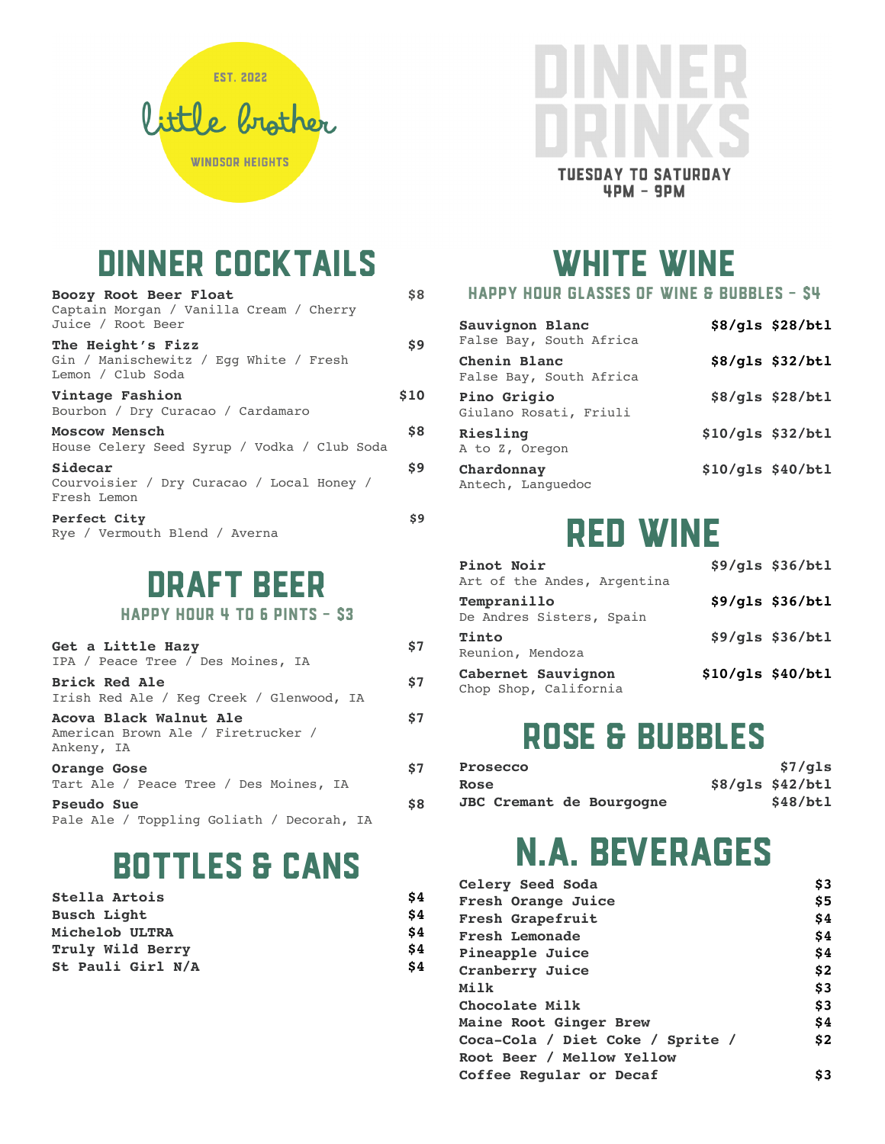



| Boozy Root Beer Float<br>Captain Morgan / Vanilla Cream / Cherry<br>Juice / Root Beer | \$8                |
|---------------------------------------------------------------------------------------|--------------------|
| The Height's Fizz<br>Gin / Manischewitz / Eqq White / Fresh<br>Lemon / Club Soda      | \$9                |
| Vintage Fashion<br>Bourbon / Dry Curacao / Cardamaro                                  | \$10               |
| Moscow Mensch<br>House Celery Seed Syrup / Vodka / Club Soda                          | \$8                |
| Sidecar<br>Courvoisier / Dry Curacao / Local Honey /<br>Fresh Lemon                   | $\mathbf{\hat{S}}$ |
| Perfect City<br>Rye / Vermouth Blend / Averna                                         | \$9                |

#### DRAFT BEER

HAPPY HOUR 4 TO 6 PINTS - \$3

| Get a Little Hazy<br>IPA / Peace Tree / Des Moines, IA                     | \$7 |
|----------------------------------------------------------------------------|-----|
| <b>Brick Red Ale</b><br>Irish Red Ale / Keg Creek / Glenwood, IA           | \$7 |
| Acova Black Walnut Ale<br>American Brown Ale / Firetrucker /<br>Ankeny, IA | \$7 |
| Orange Gose<br>Tart Ale / Peace Tree / Des Moines, IA                      | \$7 |
| Pseudo Sue<br>Pale Ale / Toppling Goliath / Decorah, IA                    | \$8 |

#### BOTTLES & CANS

| Stella Artois      | S4  |
|--------------------|-----|
| <b>Busch Light</b> | \$4 |
| Michelob ULTRA     | \$4 |
| Truly Wild Berry   | \$4 |
| St Pauli Girl N/A  | \$4 |



WHITE WINE

HAPPY HOUR GLASSES OF WINE & BUBBLES - \$4

| Sauvignon Blanc<br>False Bay, South Africa | \$8/gls \$28/btl    |
|--------------------------------------------|---------------------|
| Chenin Blanc<br>False Bay, South Africa    | $$8/gls$ $$32/btl$  |
| Pino Grigio<br>Giulano Rosati, Friuli      | $$8/gls$ $$28/btl$  |
| Riesling<br>A to Z, Oregon                 | $$10/gls$ $$32/btl$ |
| Chardonnay<br>Antech, Languedoc            | $$10/gls$ $$40/btl$ |

#### RED WINE

| Pinot Noir<br>Art of the Andes, Argentina   |                   | $$9/gls$ $$36/btl$ |
|---------------------------------------------|-------------------|--------------------|
| Tempranillo<br>De Andres Sisters, Spain     |                   | \$9/gls \$36/btl   |
| Tinto<br>Reunion, Mendoza                   |                   | $$9/gls$ $$36/btl$ |
| Cabernet Sauvignon<br>Chop Shop, California | \$10/gls \$40/btl |                    |

#### ROSE & BUBBLES

| Prosecco                        | \$7/qls            |
|---------------------------------|--------------------|
| Rose                            | $$8/gls$ $$42/btl$ |
| <b>JBC Cremant de Bourgogne</b> | \$48/btl           |

#### N.A. BEVERAGES

| Celery Seed Soda                 | \$3 |
|----------------------------------|-----|
| Fresh Orange Juice               | \$5 |
| Fresh Grapefruit                 | \$4 |
| Fresh Lemonade                   | \$4 |
| Pineapple Juice                  | \$4 |
| Cranberry Juice                  | \$2 |
| Milk                             | \$3 |
| Chocolate Milk                   | \$3 |
| Maine Root Ginger Brew           | \$4 |
| Coca-Cola / Diet Coke / Sprite / | \$2 |
| Root Beer / Mellow Yellow        |     |
| Coffee Reqular or Decaf          | \$3 |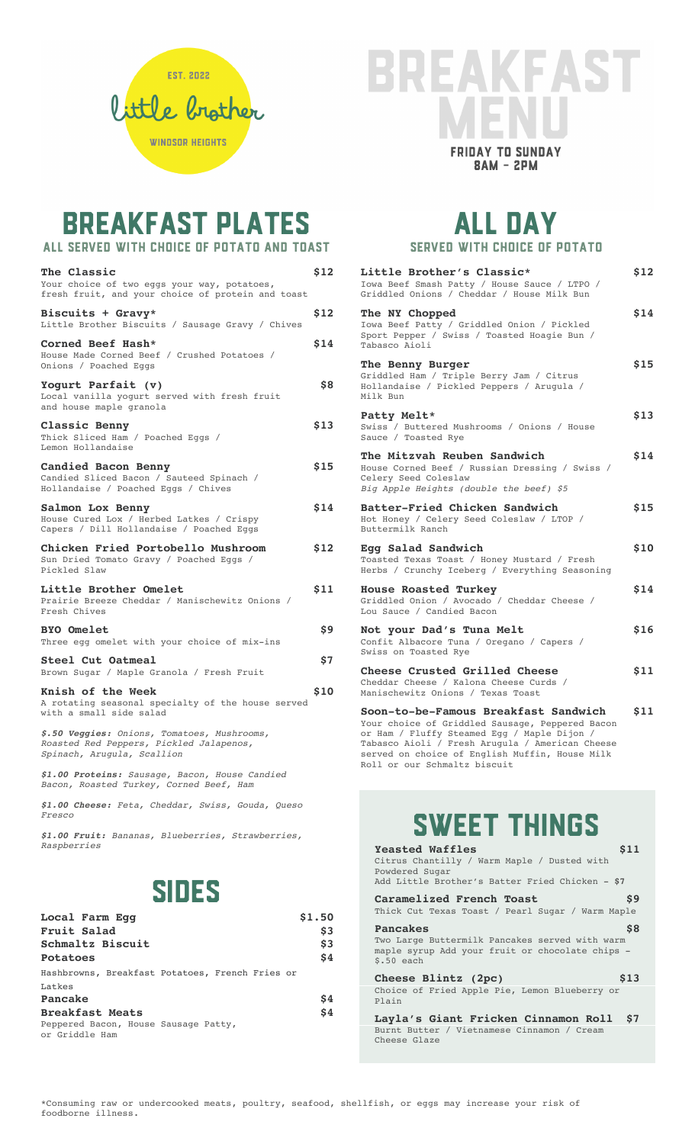

#### **ST** EAKFA **FRIDAY TO SUNDAY**  $BAM - 2PM$

## BREAKFAST PLATES

| ALL SERVED WITH CHOICE OF POTATO AND TOAST                                                                           |            |
|----------------------------------------------------------------------------------------------------------------------|------------|
| The Classic<br>Your choice of two eggs your way, potatoes,<br>fresh fruit, and your choice of protein and toast      | \$12       |
| Biscuits + Gravy*<br>Little Brother Biscuits / Sausage Gravy / Chives                                                | \$12       |
| Corned Beef Hash*<br>House Made Corned Beef / Crushed Potatoes /<br>Onions / Poached Eggs                            | \$14       |
| Yoqurt Parfait (v)<br>Local vanilla yogurt served with fresh fruit<br>and house maple granola                        | \$8        |
| Classic Benny<br>Thick Sliced Ham / Poached Eggs /<br>Lemon Hollandaise                                              | \$13       |
| Candied Bacon Benny<br>Candied Sliced Bacon / Sauteed Spinach /<br>Hollandaise / Poached Eggs / Chives               | \$15       |
| Salmon Lox Benny<br>House Cured Lox / Herbed Latkes / Crispy<br>Capers / Dill Hollandaise / Poached Eggs             | \$14       |
| Chicken Fried Portobello Mushroom<br>Sun Dried Tomato Gravy / Poached Eggs /<br>Pickled Slaw                         | \$12       |
| Little Brother Omelet<br>Prairie Breeze Cheddar / Manischewitz Onions /<br>Fresh Chives                              | \$11       |
| <b>BYO Omelet</b><br>Three egg omelet with your choice of mix-ins                                                    | \$9        |
| Steel Cut Oatmeal<br>Brown Sugar / Maple Granola / Fresh Fruit                                                       | \$7        |
| Knish of the Week<br>A rotating seasonal specialty of the house served<br>with a small side salad                    | <b>S10</b> |
| \$.50 Veggies: Onions, Tomatoes, Mushrooms,<br>Roasted Red Peppers, Pickled Jalapenos,<br>Spinach, Arugula, Scallion |            |
| \$1.00 Proteins: Sausage, Bacon, House Candied<br>Bacon, Roasted Turkey, Corned Beef, Ham                            |            |

*\$1.00 Cheese: Feta, Cheddar, Swiss, Gouda, Queso Fresco*

*\$1.00 Fruit: Bananas, Blueberries, Strawberries, Raspberries*

#### SIDES

| Local Farm Eqq                                         | \$1.50 |
|--------------------------------------------------------|--------|
| Fruit Salad                                            | \$3    |
| Schmaltz Biscuit                                       | \$3    |
| Potatoes                                               | \$4    |
| Hashbrowns, Breakfast Potatoes, French Fries or        |        |
| Latkes                                                 |        |
| Pancake                                                | Ś4     |
| <b>Breakfast Meats</b>                                 | \$4    |
| Peppered Bacon, House Sausage Patty,<br>or Griddle Ham |        |

#### ALL DAY SERVED WITH CHOICE OF POTATO

| Little Brother's Classic*<br>Iowa Beef Smash Patty / House Sauce / LTPO /<br>Griddled Onions / Cheddar / House Milk Bun                                                                   | \$12 |
|-------------------------------------------------------------------------------------------------------------------------------------------------------------------------------------------|------|
| The NY Chopped<br>Iowa Beef Patty / Griddled Onion / Pickled<br>Sport Pepper / Swiss / Toasted Hoagie Bun /<br>Tabasco Aioli                                                              | \$14 |
| The Benny Burger<br>Griddled Ham / Triple Berry Jam / Citrus<br>Hollandaise / Pickled Peppers / Arugula /<br>Milk Bun                                                                     | \$15 |
| Patty Melt*<br>Swiss / Buttered Mushrooms / Onions / House<br>Sauce / Toasted Rye                                                                                                         | \$13 |
| The Mitzvah Reuben Sandwich<br>House Corned Beef / Russian Dressing / Swiss /<br>Celery Seed Coleslaw<br>Big Apple Heights (double the beef) \$5                                          | \$14 |
| Batter-Fried Chicken Sandwich<br>Hot Honey / Celery Seed Coleslaw / LTOP /<br>Buttermilk Ranch                                                                                            | \$15 |
| Egg Salad Sandwich<br>Toasted Texas Toast / Honey Mustard / Fresh<br>Herbs / Crunchy Iceberg / Everything Seasoning                                                                       | \$10 |
| <b>House Roasted Turkey</b><br>Griddled Onion / Avocado / Cheddar Cheese /<br>Lou Sauce / Candied Bacon                                                                                   | \$14 |
| Not your Dad's Tuna Melt<br>Confit Albacore Tuna / Oregano / Capers /<br>Swiss on Toasted Rye                                                                                             | \$16 |
| Cheese Crusted Grilled Cheese<br>Cheddar Cheese / Kalona Cheese Curds /<br>Manischewitz Onions / Texas Toast                                                                              | \$11 |
| Soon-to-be-Famous Breakfast Sandwich<br>Your choice of Griddled Sausage, Peppered Bacon<br>or Ham / Fluffy Steamed Egg / Maple Dijon /<br>Tabasco Aioli / Fresh Arugula / American Cheese | \$11 |

Tabasco Aioli / Fresh Arugula / American Cheese served on choice of English Muffin, House Milk Roll or our Schmaltz biscuit

#### SWEET THINGS

| \$11<br><b>Yeasted Waffles</b><br>Citrus Chantilly / Warm Maple / Dusted with<br>Powdered Sugar<br>Add Little Brother's Batter Fried Chicken - \$7 |
|----------------------------------------------------------------------------------------------------------------------------------------------------|
| \$9<br>Caramelized French Toast<br>Thick Cut Texas Toast / Pearl Sugar / Warm Maple                                                                |
| \$8<br><b>Pancakes</b><br>Two Large Buttermilk Pancakes served with warm<br>maple syrup Add your fruit or chocolate chips -<br>$$.50$ each         |
| Cheese Blintz (2pc)<br>\$13<br>Choice of Fried Apple Pie, Lemon Blueberry or<br>Plain                                                              |
| Layla's Giant Fricken Cinnamon Roll<br>\$7<br>Burnt Butter / Vietnamese Cinnamon / Cream<br>Cheese Glaze                                           |